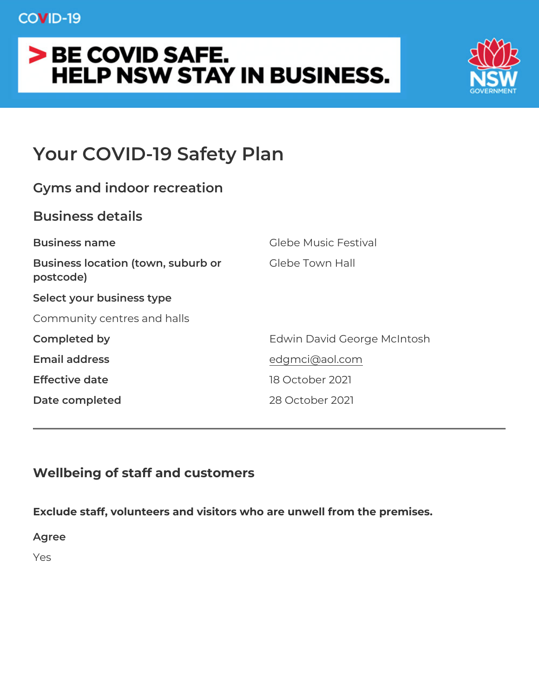# Your COVID-19 Safety Plan

| Gyms and indoor recreation                                   |                             |
|--------------------------------------------------------------|-----------------------------|
| Business details                                             |                             |
| Business name                                                | Glebe Music Festival        |
| Business location (town, suburbGotebe Town Hall<br>postcode) |                             |
| Select your business type                                    |                             |
| Community centres and halls                                  |                             |
| Completed by                                                 | Edwin David George McIntosh |
| Email address                                                | edgmci@aol.com              |
| Effective date                                               | 18 October 2021             |
| Date completed                                               | 28 October 2021             |
|                                                              |                             |

Wellbeing of staff and customers

Exclude staff, volunteers and visitors who are unwell from the prer Agree Yes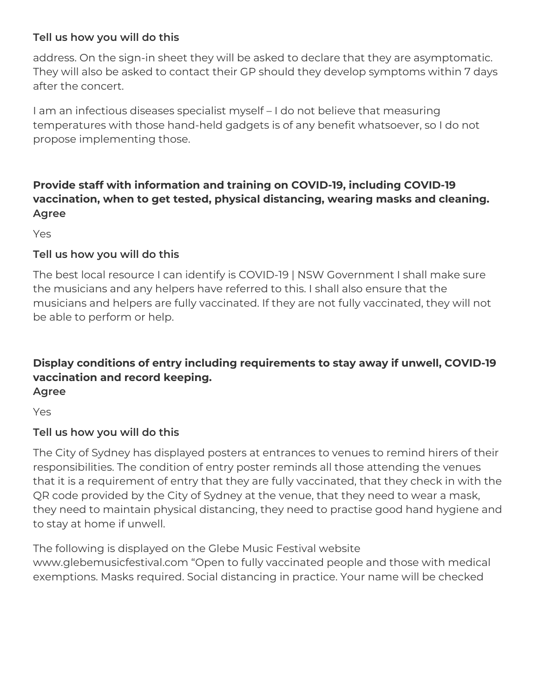# **Tell us how you will do this**

address. On the sign-in sheet they will be asked to declare that they are asymptomatic. They will also be asked to contact their GP should they develop symptoms within 7 days after the concert.

I am an infectious diseases specialist myself – I do not believe that measuring temperatures with those hand-held gadgets is of any benefit whatsoever, so I do not propose implementing those.

# **Provide staff with information and training on COVID-19, including COVID-19 vaccination, when to get tested, physical distancing, wearing masks and cleaning. Agree**

Yes

# **Tell us how you will do this**

The best local resource I can identify is COVID-19 | NSW Government I shall make sure the musicians and any helpers have referred to this. I shall also ensure that the musicians and helpers are fully vaccinated. If they are not fully vaccinated, they will not be able to perform or help.

# **Display conditions of entry including requirements to stay away if unwell, COVID-19 vaccination and record keeping.**

**Agree**

Yes

# **Tell us how you will do this**

The City of Sydney has displayed posters at entrances to venues to remind hirers of their responsibilities. The condition of entry poster reminds all those attending the venues that it is a requirement of entry that they are fully vaccinated, that they check in with the QR code provided by the City of Sydney at the venue, that they need to wear a mask, they need to maintain physical distancing, they need to practise good hand hygiene and to stay at home if unwell.

The following is displayed on the Glebe Music Festival website www.glebemusicfestival.com "Open to fully vaccinated people and those with medical exemptions. Masks required. Social distancing in practice. Your name will be checked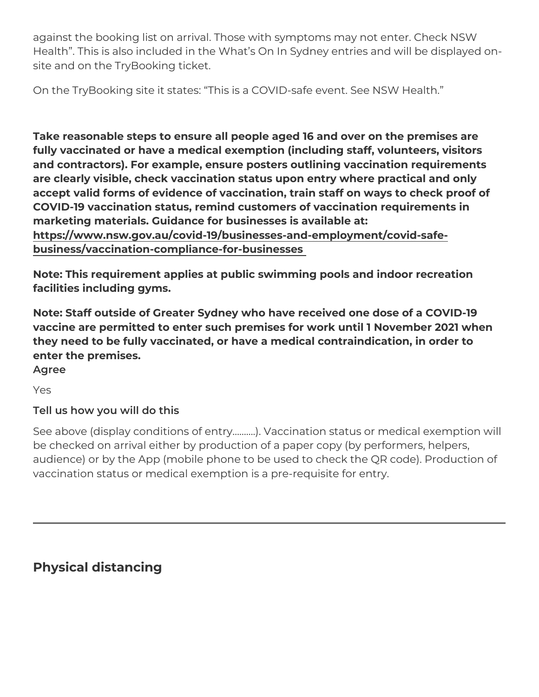against the booking list on arrival. Those with symptoms may not e Health . This is also included in the What s On In Sydney entries a site and on the TryBooking ticket.

On the TryBooking site it states: This is a COVID-safe event. See

Take reasonable steps to ensure all people aged 16 and over on the fully vaccinated or have a medical exemption (including staff, volu and contractors). For example, ensure posters outlining vaccinatio are clearly visible, check vaccination status upon entry where prac accept valid forms of evidence of vaccination, train staff on ways t COVID-19 vaccination status, remind customers of vaccination requ marketing materials. Guidance for businesses is available at: [https://www.nsw.gov.au/covid-19/businesses-and-emplo](https://www.nsw.gov.au/covid-19/businesses-and-employment/covid-safe-business/vaccination-compliance-for-businesses)yment/covid [business/vaccination-compliance-for](https://www.nsw.gov.au/covid-19/businesses-and-employment/covid-safe-business/vaccination-compliance-for-businesses)-businesses

Note: This requirement applies at public swimming pools and indoo facilities including gyms.

Note: Staff outside of Greater Sydney who have received one dose vaccine are permitted to enter such premises for work until 1 Nove they need to be fully vaccinated, or have a medical contraindication, enter the premises.

Agree

Yes

Tell us how you will do this

See above (display conditions of entry & & &.). Vaccination statuls or be checked on arrival either by production of a paper copy (by per audience) or by the App (mobile phone to be used to check the QR vaccination status or medical exemption is a pre-requisite for entry

Physical distancing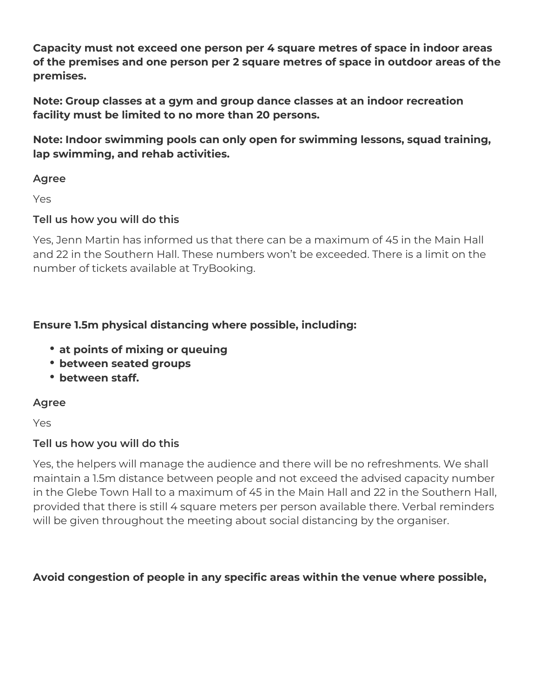**Capacity must not exceed one person per 4 square metres of space in indoor areas of the premises and one person per 2 square metres of space in outdoor areas of the premises.**

**Note: Group classes at a gym and group dance classes at an indoor recreation facility must be limited to no more than 20 persons.**

**Note: Indoor swimming pools can only open for swimming lessons, squad training, lap swimming, and rehab activities.**

#### **Agree**

Yes

# **Tell us how you will do this**

Yes, Jenn Martin has informed us that there can be a maximum of 45 in the Main Hall and 22 in the Southern Hall. These numbers won't be exceeded. There is a limit on the number of tickets available at TryBooking.

# **Ensure 1.5m physical distancing where possible, including:**

- **at points of mixing or queuing**
- **between seated groups**
- **between staff.**

#### **Agree**

Yes

# **Tell us how you will do this**

Yes, the helpers will manage the audience and there will be no refreshments. We shall maintain a 1.5m distance between people and not exceed the advised capacity number in the Glebe Town Hall to a maximum of 45 in the Main Hall and 22 in the Southern Hall, provided that there is still 4 square meters per person available there. Verbal reminders will be given throughout the meeting about social distancing by the organiser.

# **Avoid congestion of people in any specific areas within the venue where possible,**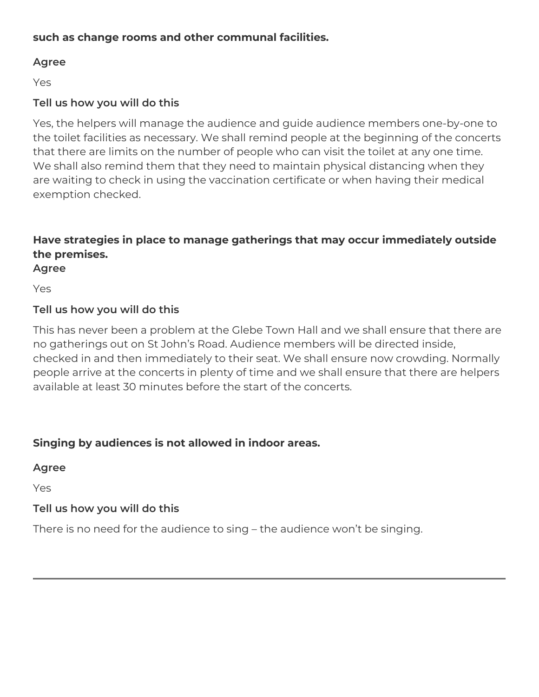#### **such as change rooms and other communal facilities.**

#### **Agree**

Yes

# **Tell us how you will do this**

Yes, the helpers will manage the audience and guide audience members one-by-one to the toilet facilities as necessary. We shall remind people at the beginning of the concerts that there are limits on the number of people who can visit the toilet at any one time. We shall also remind them that they need to maintain physical distancing when they are waiting to check in using the vaccination certificate or when having their medical exemption checked.

# **Have strategies in place to manage gatherings that may occur immediately outside the premises.**

**Agree**

Yes

#### **Tell us how you will do this**

This has never been a problem at the Glebe Town Hall and we shall ensure that there are no gatherings out on St John's Road. Audience members will be directed inside, checked in and then immediately to their seat. We shall ensure now crowding. Normally people arrive at the concerts in plenty of time and we shall ensure that there are helpers available at least 30 minutes before the start of the concerts.

#### **Singing by audiences is not allowed in indoor areas.**

**Agree**

Yes

#### **Tell us how you will do this**

There is no need for the audience to sing – the audience won't be singing.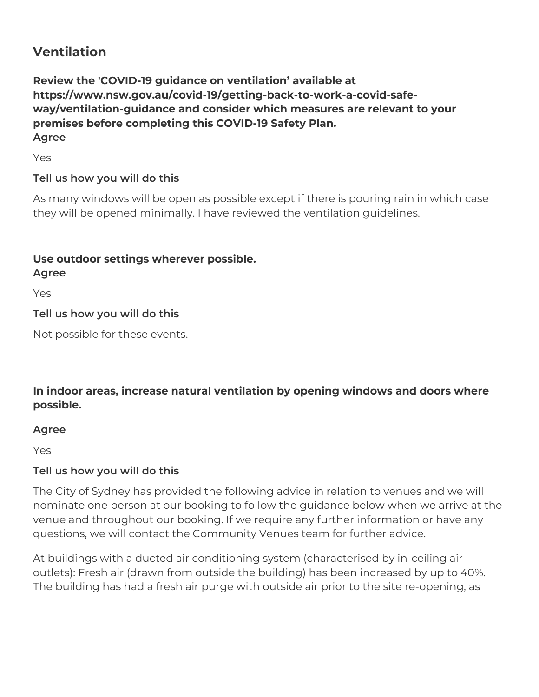#### Ventilation

Review the 'COVID-19 guidance on ventilation available at [https://www.nsw.gov.au/covid-19/getting-back-to-wo](https://www.nsw.gov.au/covid-19/getting-back-to-work-a-covid-safe-way/ventilation-guidance)rk-a-covid-safe [way/ventilation-gui](https://www.nsw.gov.au/covid-19/getting-back-to-work-a-covid-safe-way/ventilation-guidance)dannde consider which measures are relevant to your premises before completing this COVID-19 Safety Plan. Agree

Yes

Tell us how you will do this

As many windows will be open as possible except if there is pourin they will be opened minimally. I have reviewed the ventilation guid

Use outdoor settings wherever possible.

Agree

Yes

Tell us how you will do this

Not possible for these events.

In indoor areas, increase natural ventilation by opening windows a possible.

Agree

Yes

Tell us how you will do this

The City of Sydney has provided the following advice in relation to nominate one person at our booking to follow the guidance below w venue and throughout our booking. If we require any further inform questions, we will contact the Community Venues team for further a

At buildings with a ducted air conditioning system (characterised b outlets): Fresh air (drawn from outside the building) has been incr The building has had a fresh air purge with outside air prior to the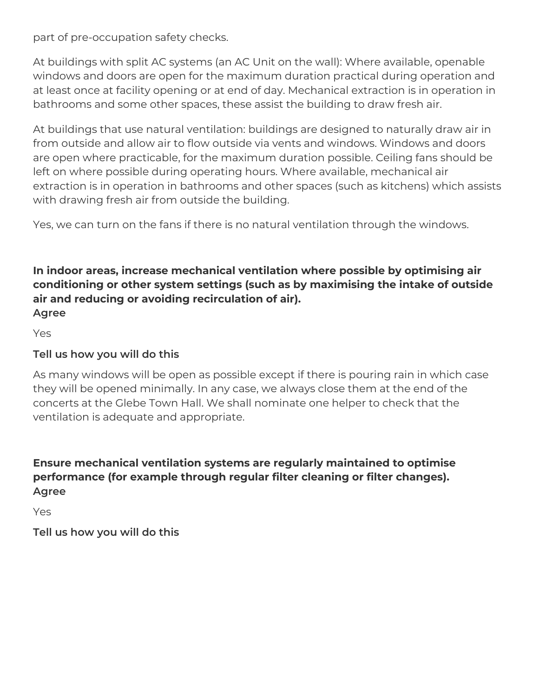part of pre-occupation safety checks.

At buildings with split AC systems (an AC Unit on the wall): Where available, openable windows and doors are open for the maximum duration practical during operation and at least once at facility opening or at end of day. Mechanical extraction is in operation in bathrooms and some other spaces, these assist the building to draw fresh air.

At buildings that use natural ventilation: buildings are designed to naturally draw air in from outside and allow air to flow outside via vents and windows. Windows and doors are open where practicable, for the maximum duration possible. Ceiling fans should be left on where possible during operating hours. Where available, mechanical air extraction is in operation in bathrooms and other spaces (such as kitchens) which assists with drawing fresh air from outside the building.

Yes, we can turn on the fans if there is no natural ventilation through the windows.

#### **In indoor areas, increase mechanical ventilation where possible by optimising air conditioning or other system settings (such as by maximising the intake of outside air and reducing or avoiding recirculation of air). Agree**

Yes

# **Tell us how you will do this**

As many windows will be open as possible except if there is pouring rain in which case they will be opened minimally. In any case, we always close them at the end of the concerts at the Glebe Town Hall. We shall nominate one helper to check that the ventilation is adequate and appropriate.

# **Ensure mechanical ventilation systems are regularly maintained to optimise performance (for example through regular filter cleaning or filter changes). Agree**

Yes

**Tell us how you will do this**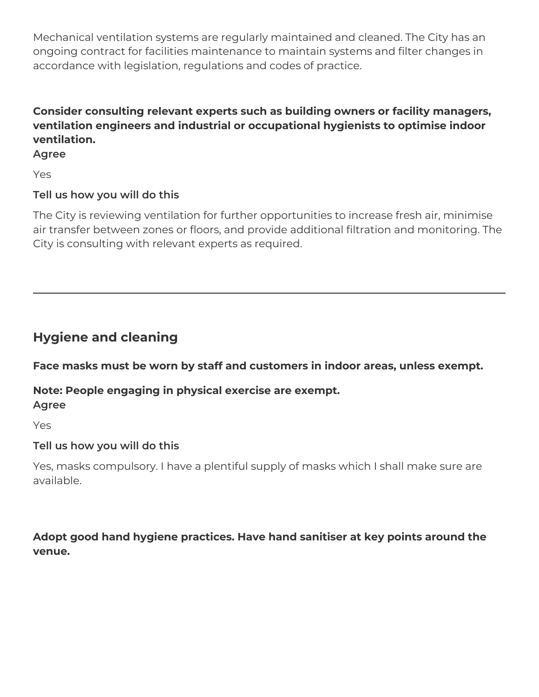Mechanical ventilation systems are regularly maintained and cleaned. The City has an ongoing contract for facilities maintenance to maintain systems and filter changes in accordance with legislation, regulations and codes of practice.

# **Consider consulting relevant experts such as building owners or facility managers, ventilation engineers and industrial or occupational hygienists to optimise indoor ventilation.**

#### **Agree**

Yes

# **Tell us how you will do this**

The City is reviewing ventilation for further opportunities to increase fresh air, minimise air transfer between zones or floors, and provide additional filtration and monitoring. The City is consulting with relevant experts as required.

# **Hygiene and cleaning**

**Face masks must be worn by staff and customers in indoor areas, unless exempt.** 

# **Note: People engaging in physical exercise are exempt. Agree**

Yes

# **Tell us how you will do this**

Yes, masks compulsory. I have a plentiful supply of masks which I shall make sure are available.

# **Adopt good hand hygiene practices. Have hand sanitiser at key points around the venue.**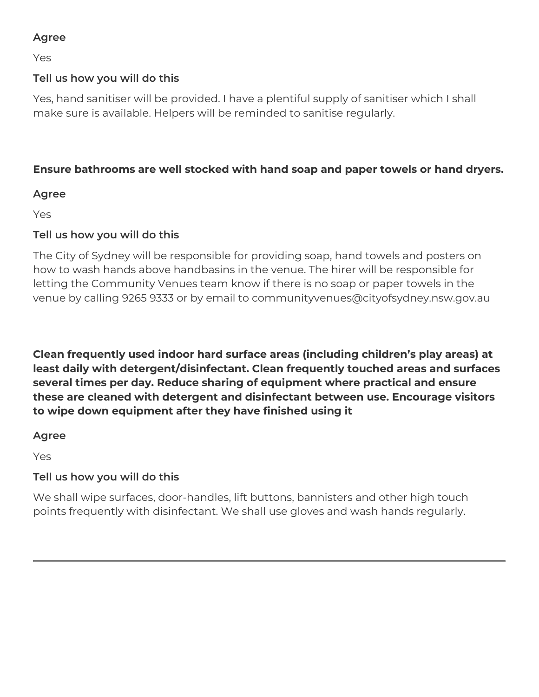# **Agree**

Yes

# **Tell us how you will do this**

Yes, hand sanitiser will be provided. I have a plentiful supply of sanitiser which I shall make sure is available. Helpers will be reminded to sanitise regularly.

# **Ensure bathrooms are well stocked with hand soap and paper towels or hand dryers.**

# **Agree**

Yes

# **Tell us how you will do this**

The City of Sydney will be responsible for providing soap, hand towels and posters on how to wash hands above handbasins in the venue. The hirer will be responsible for letting the Community Venues team know if there is no soap or paper towels in the venue by calling 9265 9333 or by email to communityvenues@cityofsydney.nsw.gov.au

**Clean frequently used indoor hard surface areas (including children's play areas) at least daily with detergent/disinfectant. Clean frequently touched areas and surfaces several times per day. Reduce sharing of equipment where practical and ensure these are cleaned with detergent and disinfectant between use. Encourage visitors to wipe down equipment after they have finished using it**

#### **Agree**

Yes

# **Tell us how you will do this**

We shall wipe surfaces, door-handles, lift buttons, bannisters and other high touch points frequently with disinfectant. We shall use gloves and wash hands regularly.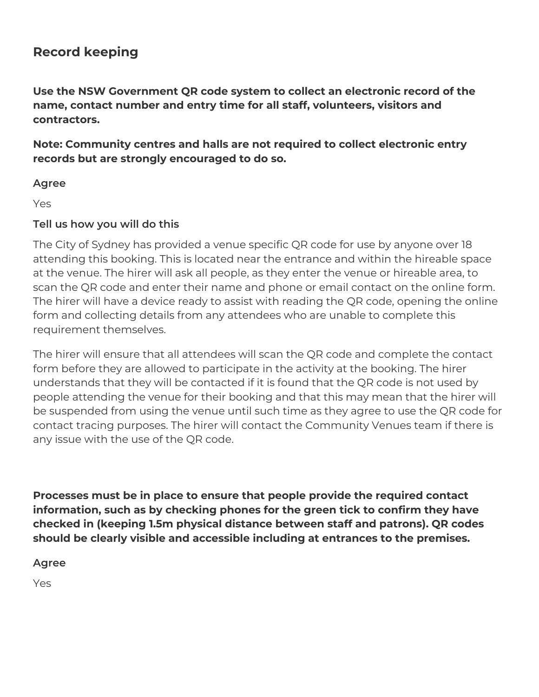# **Record keeping**

**Use the NSW Government QR code system to collect an electronic record of the name, contact number and entry time for all staff, volunteers, visitors and contractors.**

**Note: Community centres and halls are not required to collect electronic entry records but are strongly encouraged to do so.**

#### **Agree**

Yes

# **Tell us how you will do this**

The City of Sydney has provided a venue specific QR code for use by anyone over 18 attending this booking. This is located near the entrance and within the hireable space at the venue. The hirer will ask all people, as they enter the venue or hireable area, to scan the QR code and enter their name and phone or email contact on the online form. The hirer will have a device ready to assist with reading the QR code, opening the online form and collecting details from any attendees who are unable to complete this requirement themselves.

The hirer will ensure that all attendees will scan the QR code and complete the contact form before they are allowed to participate in the activity at the booking. The hirer understands that they will be contacted if it is found that the QR code is not used by people attending the venue for their booking and that this may mean that the hirer will be suspended from using the venue until such time as they agree to use the QR code for contact tracing purposes. The hirer will contact the Community Venues team if there is any issue with the use of the QR code.

**Processes must be in place to ensure that people provide the required contact information, such as by checking phones for the green tick to confirm they have checked in (keeping 1.5m physical distance between staff and patrons). QR codes should be clearly visible and accessible including at entrances to the premises.**

**Agree**

Yes